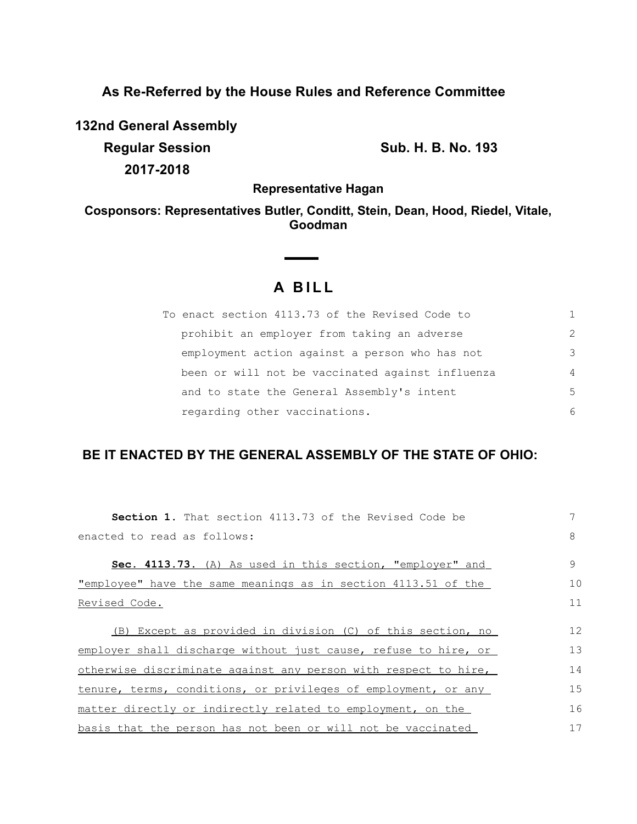## **As Re-Referred by the House Rules and Reference Committee**

**132nd General Assembly**

**2017-2018**

**Regular Session Sub. H. B. No. 193**

**Representative Hagan**

**Cosponsors: Representatives Butler, Conditt, Stein, Dean, Hood, Riedel, Vitale, Goodman**

## **A BILL**

**Contract Contract Contract** 

| To enact section 4113.73 of the Revised Code to  |                |
|--------------------------------------------------|----------------|
| prohibit an employer from taking an adverse      | $\mathcal{L}$  |
| employment action against a person who has not   | 3              |
| been or will not be vaccinated against influenza | $\overline{4}$ |
| and to state the General Assembly's intent       | .5             |
| regarding other vaccinations.                    | 6              |

## **BE IT ENACTED BY THE GENERAL ASSEMBLY OF THE STATE OF OHIO:**

| <b>Section 1.</b> That section 4113.73 of the Revised Code be         | 7  |
|-----------------------------------------------------------------------|----|
| enacted to read as follows:                                           | 8  |
| Sec. 4113.73. (A) As used in this section, "employer" and             | 9  |
| <u>"employee" have the same meanings as in section 4113.51 of the</u> | 10 |
| Revised Code.                                                         | 11 |
| (B) Except as provided in division (C) of this section, no            | 12 |
| employer shall discharge without just cause, refuse to hire, or       | 13 |
| otherwise discriminate against any person with respect to hire,       | 14 |
| tenure, terms, conditions, or privileges of employment, or any        | 15 |
| matter directly or indirectly related to employment, on the           | 16 |
| basis that the person has not been or will not be vaccinated          | 17 |